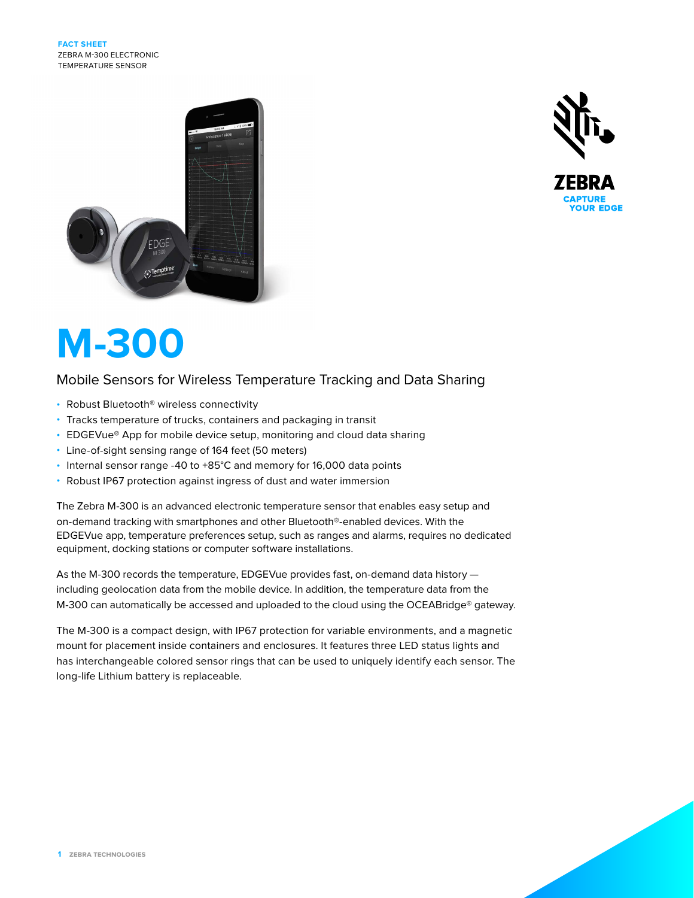



# **M-300**

# Mobile Sensors for Wireless Temperature Tracking and Data Sharing

- Robust Bluetooth® wireless connectivity
- Tracks temperature of trucks, containers and packaging in transit
- EDGEVue® App for mobile device setup, monitoring and cloud data sharing
- Line-of-sight sensing range of 164 feet (50 meters)
- Internal sensor range -40 to +85°C and memory for 16,000 data points
- Robust IP67 protection against ingress of dust and water immersion

The Zebra M-300 is an advanced electronic temperature sensor that enables easy setup and on-demand tracking with smartphones and other Bluetooth®-enabled devices. With the EDGEVue app, temperature preferences setup, such as ranges and alarms, requires no dedicated equipment, docking stations or computer software installations.

As the M-300 records the temperature, EDGEVue provides fast, on-demand data history including geolocation data from the mobile device. In addition, the temperature data from the M-300 can automatically be accessed and uploaded to the cloud using the OCEABridge® gateway.

The M-300 is a compact design, with IP67 protection for variable environments, and a magnetic mount for placement inside containers and enclosures. It features three LED status lights and has interchangeable colored sensor rings that can be used to uniquely identify each sensor. The long-life Lithium battery is replaceable.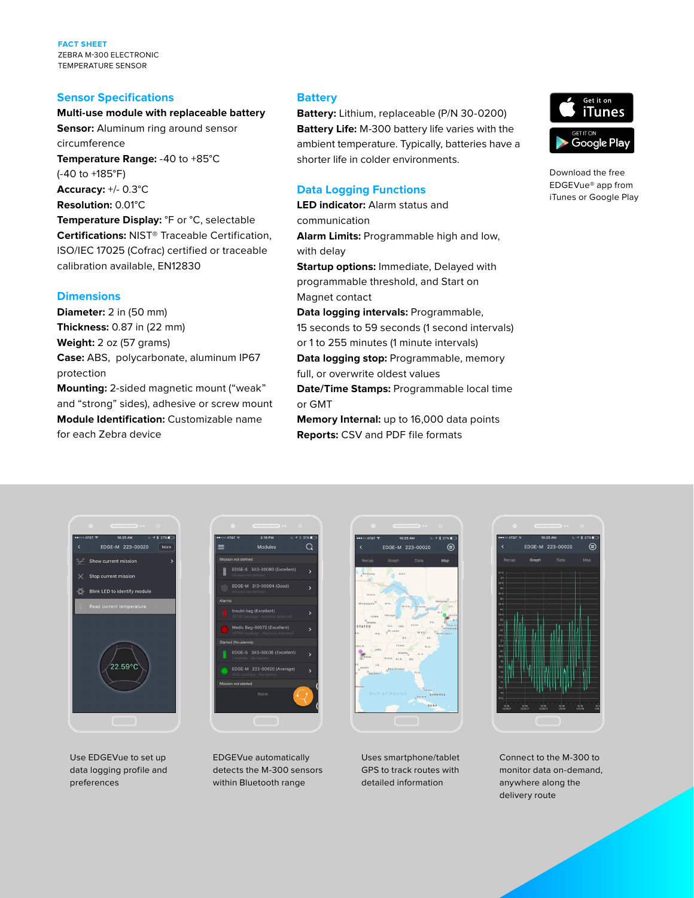**FACT SHEET** ZEBRA M-300 ELECTRONIC TEMPERATURE SENSOR

#### **Sensor Specifications**

# **Multi-use module with replaceable battery**

**Sensor:** Aluminum ring around sensor circumference **Temperature Range:** -40 to +85°C (-40 to +185°F) **Accuracy:** +/- 0.3°C **Resolution:** 0.01°C **Temperature Display:** °F or °C, selectable **Certifications:** NIST® Traceable Certification,

ISO/IEC 17025 (Cofrac) certified or traceable calibration available, EN12830

#### **Dimensions**

**Diameter:** 2 in (50 mm) **Thickness:** 0.87 in (22 mm) **Weight:** 2 oz (57 grams) **Case:** ABS, polycarbonate, aluminum IP67 protection

**Mounting:** 2-sided magnetic mount ("weak" and "strong" sides), adhesive or screw mount **Module Identification:** Customizable name for each Zebra device

#### **Battery**

**Battery:** Lithium, replaceable (P/N 30-0200) **Battery Life:** M-300 battery life varies with the ambient temperature. Typically, batteries have a shorter life in colder environments.

## **Data Logging Functions**

**LED indicator:** Alarm status and communication **Alarm Limits:** Programmable high and low, with delay **Startup options:** Immediate, Delayed with programmable threshold, and Start on Magnet contact **Data logging intervals:** Programmable, 15 seconds to 59 seconds (1 second intervals) or 1 to 255 minutes (1 minute intervals) **Data logging stop:** Programmable, memory full, or overwrite oldest values

**Date/Time Stamps:** Programmable local time or GMT

**Memory Internal:** up to 16,000 data points **Reports:** CSV and PDF file formats

FDGE-M 223-00020

 $\epsilon$ 



Download the free EDGEVue® app from iTunes or Google Play



Use EDGEVue to set up data logging profile and preferences



EDGEVue automatically detects the M-300 sensors within Bluetooth range

Uses smartphone/tablet GPS to track routes with detailed information



Connect to the M-300 to monitor data on-demand, anywhere along the delivery route